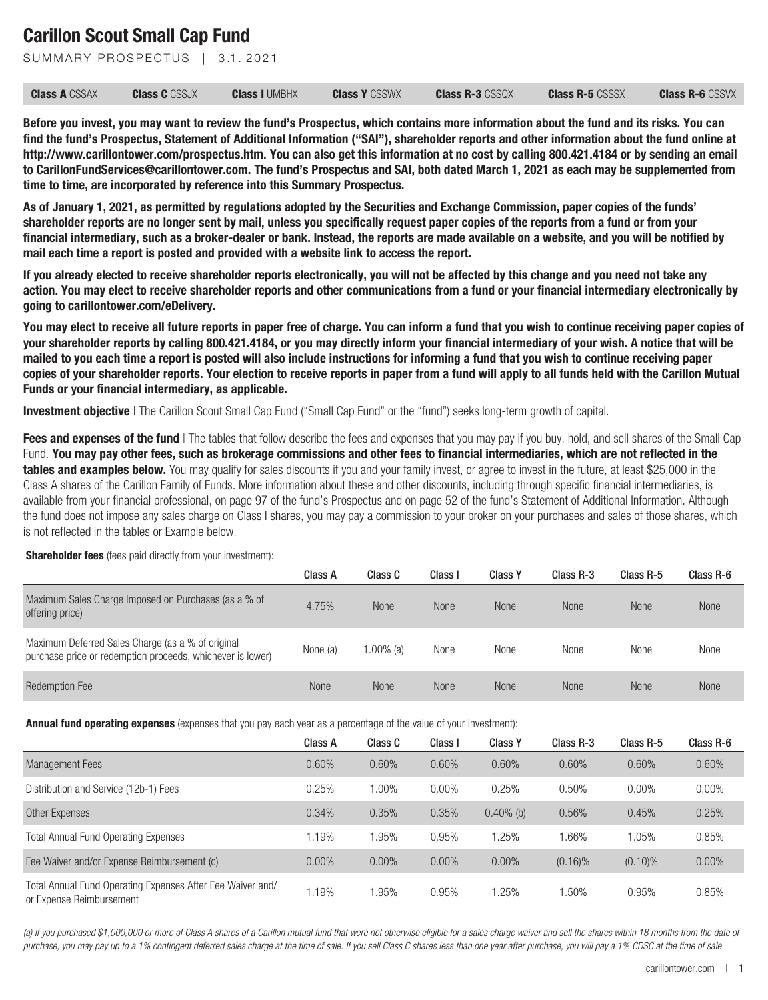SUMMARY PROSPECTUS | 3.1, 2021

| <b>Class A CSSAX</b> | <b>Class C</b> CSSJX | <b>Class I UMBHX</b> | <b>Class Y</b> CSSWX | <b>Class R-3 CSSQX</b> | <b>Class R-5 CSSSX</b> | <b>Class R-6 CSSVX</b> |
|----------------------|----------------------|----------------------|----------------------|------------------------|------------------------|------------------------|
|                      |                      |                      |                      |                        |                        |                        |

**Before you invest, you may want to review the fund's Prospectus, which contains more information about the fund and its risks. You can find the fund's Prospectus, Statement of Additional Information ("SAI"), shareholder reports and other information about the fund online at http://www.carillontower.com/prospectus.htm. You can also get this information at no cost by calling 800.421.4184 or by sending an email to CarillonFundServices@carillontower.com. The fund's Prospectus and SAI, both dated March 1, 2021 as each may be supplemented from time to time, are incorporated by reference into this Summary Prospectus.**

**As of January 1, 2021, as permitted by regulations adopted by the Securities and Exchange Commission, paper copies of the funds' shareholder reports are no longer sent by mail, unless you specifically request paper copies of the reports from a fund or from your financial intermediary, such as a broker-dealer or bank. Instead, the reports are made available on a website, and you will be notified by mail each time a report is posted and provided with a website link to access the report.**

**If you already elected to receive shareholder reports electronically, you will not be affected by this change and you need not take any action. You may elect to receive shareholder reports and other communications from a fund or your financial intermediary electronically by going to carillontower.com/eDelivery.**

**You may elect to receive all future reports in paper free of charge. You can inform a fund that you wish to continue receiving paper copies of your shareholder reports by calling 800.421.4184, or you may directly inform your financial intermediary of your wish. A notice that will be mailed to you each time a report is posted will also include instructions for informing a fund that you wish to continue receiving paper copies of your shareholder reports. Your election to receive reports in paper from a fund will apply to all funds held with the Carillon Mutual Funds or your financial intermediary, as applicable.**

**Investment objective** | The Carillon Scout Small Cap Fund ("Small Cap Fund" or the "fund") seeks long-term growth of capital.

**Fees and expenses of the fund** I The tables that follow describe the fees and expenses that you may pay if you buy, hold, and sell shares of the Small Cap Fund. **You may pay other fees, such as brokerage commissions and other fees to financial intermediaries, which are not reflected in the tables and examples below.** You may qualify for sales discounts if you and your family invest, or agree to invest in the future, at least \$25,000 in the Class A shares of the Carillon Family of Funds. More information about these and other discounts, including through specific financial intermediaries, is available from your financial professional, on page 97 of the fund's Prospectus and on page 52 of the fund's Statement of Additional Information. Although the fund does not impose any sales charge on Class I shares, you may pay a commission to your broker on your purchases and sales of those shares, which is not reflected in the tables or Example below.

**Shareholder fees** (fees paid directly from your investment):

|                                                                                                                 | Class A  | Class C      | Class I     | <b>Class Y</b> | Class R-3   | Class R-5   | Class R-6 |
|-----------------------------------------------------------------------------------------------------------------|----------|--------------|-------------|----------------|-------------|-------------|-----------|
| Maximum Sales Charge Imposed on Purchases (as a % of<br>offering price)                                         | 4.75%    | <b>None</b>  | <b>None</b> | <b>None</b>    | <b>None</b> | <b>None</b> | None      |
| Maximum Deferred Sales Charge (as a % of original<br>purchase price or redemption proceeds, whichever is lower) | None (a) | $1.00\%$ (a) | None        | None           | None        | None        | None      |
| <b>Redemption Fee</b>                                                                                           | None     | None         | <b>None</b> | <b>None</b>    | <b>None</b> | <b>None</b> | None      |

**Annual fund operating expenses** (expenses that you pay each year as a percentage of the value of your investment):

|                                                                                        | Class A | Class C  | Class I  | <b>Class Y</b> | Class R-3  | Class R-5  | Class R-6 |
|----------------------------------------------------------------------------------------|---------|----------|----------|----------------|------------|------------|-----------|
| <b>Management Fees</b>                                                                 | 0.60%   | 0.60%    | 0.60%    | 0.60%          | 0.60%      | 0.60%      | 0.60%     |
| Distribution and Service (12b-1) Fees                                                  | 0.25%   | $0.00\%$ | $0.00\%$ | 0.25%          | 0.50%      | $0.00\%$   | $0.00\%$  |
| Other Expenses                                                                         | 0.34%   | 0.35%    | 0.35%    | $0.40\%$ (b)   | 0.56%      | 0.45%      | 0.25%     |
| <b>Total Annual Fund Operating Expenses</b>                                            | 1.19%   | 1.95%    | 0.95%    | 1.25%          | .66%       | 1.05%      | 0.85%     |
| Fee Waiver and/or Expense Reimbursement (c)                                            | 0.00%   | 0.00%    | $0.00\%$ | $0.00\%$       | $(0.16)\%$ | $(0.10)\%$ | $0.00\%$  |
| Total Annual Fund Operating Expenses After Fee Waiver and/<br>or Expense Reimbursement | .19%    | .95%     | 0.95%    | 1.25%          | .50%       | 0.95%      | 0.85%     |

*(a) If you purchased \$1,000,000 or more of Class A shares of a Carillon mutual fund that were not otherwise eligible for a sales charge waiver and sell the shares within 18 months from the date of purchase, you may pay up to a 1% contingent deferred sales charge at the time of sale. If you sell Class C shares less than one year after purchase, you will pay a 1% CDSC at the time of sale.*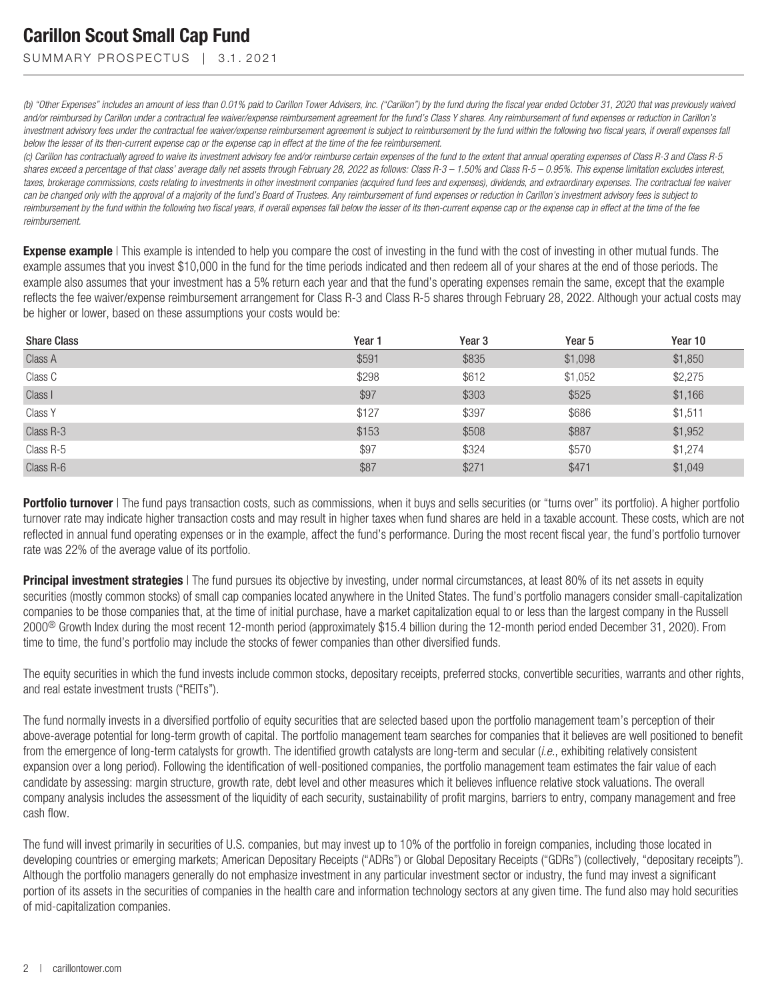SUMMARY PROSPECTUS | 3.1.2021

*(b) "Other Expenses" includes an amount of less than 0.01% paid to Carillon Tower Advisers, Inc. ("Carillon") by the fund during the fiscal year ended October 31, 2020 that was previously waived* and/or reimbursed by Carillon under a contractual fee waiver/expense reimbursement agreement for the fund's Class Y shares. Any reimbursement of fund expenses or reduction in Carillon's *investment advisory fees under the contractual fee waiver/expense reimbursement agreement is subject to reimbursement by the fund within the following two fiscal years, if overall expenses fall below the lesser of its then-current expense cap or the expense cap in effect at the time of the fee reimbursement.*

*(c) Carillon has contractually agreed to waive its investment advisory fee and/or reimburse certain expenses of the fund to the extent that annual operating expenses of Class R-3 and Class R-5 shares exceed a percentage of that class' average daily net assets through February 28, 2022 as follows: Class R-3 – 1.50% and Class R-5 – 0.95%. This expense limitation excludes interest, taxes, brokerage commissions, costs relating to investments in other investment companies (acquired fund fees and expenses), dividends, and extraordinary expenses. The contractual fee waiver can be changed only with the approval of a majority of the fund's Board of Trustees. Any reimbursement of fund expenses or reduction in Carillon's investment advisory fees is subject to reimbursement by the fund within the following two fiscal years, if overall expenses fall below the lesser of its then-current expense cap or the expense cap in effect at the time of the fee reimbursement.*

**Expense example** | This example is intended to help you compare the cost of investing in the fund with the cost of investing in other mutual funds. The example assumes that you invest \$10,000 in the fund for the time periods indicated and then redeem all of your shares at the end of those periods. The example also assumes that your investment has a 5% return each year and that the fund's operating expenses remain the same, except that the example reflects the fee waiver/expense reimbursement arrangement for Class R-3 and Class R-5 shares through February 28, 2022. Although your actual costs may be higher or lower, based on these assumptions your costs would be:

| <b>Share Class</b> | Year 1 | Year <sub>3</sub> | Year <sub>5</sub> | Year 10 |
|--------------------|--------|-------------------|-------------------|---------|
| Class A            | \$591  | \$835             | \$1,098           | \$1,850 |
| Class C            | \$298  | \$612             | \$1,052           | \$2,275 |
| Class I            | \$97   | \$303             | \$525             | \$1,166 |
| Class Y            | \$127  | \$397             | \$686             | \$1,511 |
| Class R-3          | \$153  | \$508             | \$887             | \$1,952 |
| Class R-5          | \$97   | \$324             | \$570             | \$1,274 |
| Class R-6          | \$87   | \$271             | \$471             | \$1,049 |

**Portfolio turnover** | The fund pays transaction costs, such as commissions, when it buys and sells securities (or "turns over" its portfolio). A higher portfolio turnover rate may indicate higher transaction costs and may result in higher taxes when fund shares are held in a taxable account. These costs, which are not reflected in annual fund operating expenses or in the example, affect the fund's performance. During the most recent fiscal year, the fund's portfolio turnover rate was 22% of the average value of its portfolio.

**Principal investment strategies** | The fund pursues its objective by investing, under normal circumstances, at least 80% of its net assets in equity securities (mostly common stocks) of small cap companies located anywhere in the United States. The fund's portfolio managers consider small-capitalization companies to be those companies that, at the time of initial purchase, have a market capitalization equal to or less than the largest company in the Russell 2000® Growth Index during the most recent 12-month period (approximately \$15.4 billion during the 12-month period ended December 31, 2020). From time to time, the fund's portfolio may include the stocks of fewer companies than other diversified funds.

The equity securities in which the fund invests include common stocks, depositary receipts, preferred stocks, convertible securities, warrants and other rights, and real estate investment trusts ("REITs").

The fund normally invests in a diversified portfolio of equity securities that are selected based upon the portfolio management team's perception of their above-average potential for long-term growth of capital. The portfolio management team searches for companies that it believes are well positioned to benefit from the emergence of long-term catalysts for growth. The identified growth catalysts are long-term and secular (*i.e.*, exhibiting relatively consistent expansion over a long period). Following the identification of well-positioned companies, the portfolio management team estimates the fair value of each candidate by assessing: margin structure, growth rate, debt level and other measures which it believes influence relative stock valuations. The overall company analysis includes the assessment of the liquidity of each security, sustainability of profit margins, barriers to entry, company management and free cash flow.

The fund will invest primarily in securities of U.S. companies, but may invest up to 10% of the portfolio in foreign companies, including those located in developing countries or emerging markets; American Depositary Receipts ("ADRs") or Global Depositary Receipts ("GDRs") (collectively, "depositary receipts"). Although the portfolio managers generally do not emphasize investment in any particular investment sector or industry, the fund may invest a significant portion of its assets in the securities of companies in the health care and information technology sectors at any given time. The fund also may hold securities of mid-capitalization companies.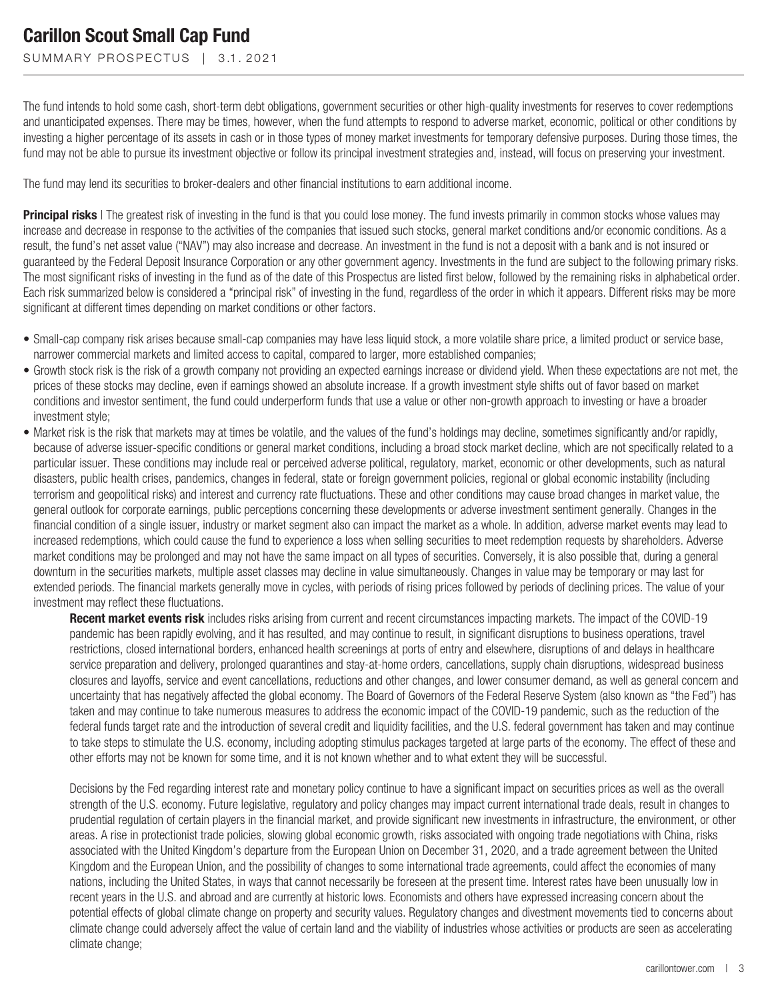SUMMARY PROSPECTUS | 3.1.2021

The fund intends to hold some cash, short-term debt obligations, government securities or other high-quality investments for reserves to cover redemptions and unanticipated expenses. There may be times, however, when the fund attempts to respond to adverse market, economic, political or other conditions by investing a higher percentage of its assets in cash or in those types of money market investments for temporary defensive purposes. During those times, the fund may not be able to pursue its investment objective or follow its principal investment strategies and, instead, will focus on preserving your investment.

The fund may lend its securities to broker-dealers and other financial institutions to earn additional income.

**Principal risks** | The greatest risk of investing in the fund is that you could lose money. The fund invests primarily in common stocks whose values may increase and decrease in response to the activities of the companies that issued such stocks, general market conditions and/or economic conditions. As a result, the fund's net asset value ("NAV") may also increase and decrease. An investment in the fund is not a deposit with a bank and is not insured or guaranteed by the Federal Deposit Insurance Corporation or any other government agency. Investments in the fund are subject to the following primary risks. The most significant risks of investing in the fund as of the date of this Prospectus are listed first below, followed by the remaining risks in alphabetical order. Each risk summarized below is considered a "principal risk" of investing in the fund, regardless of the order in which it appears. Different risks may be more significant at different times depending on market conditions or other factors.

- Small-cap company risk arises because small-cap companies may have less liquid stock, a more volatile share price, a limited product or service base, narrower commercial markets and limited access to capital, compared to larger, more established companies;
- Growth stock risk is the risk of a growth company not providing an expected earnings increase or dividend yield. When these expectations are not met, the prices of these stocks may decline, even if earnings showed an absolute increase. If a growth investment style shifts out of favor based on market conditions and investor sentiment, the fund could underperform funds that use a value or other non-growth approach to investing or have a broader investment style;
- Market risk is the risk that markets may at times be volatile, and the values of the fund's holdings may decline, sometimes significantly and/or rapidly, because of adverse issuer-specific conditions or general market conditions, including a broad stock market decline, which are not specifically related to a particular issuer. These conditions may include real or perceived adverse political, regulatory, market, economic or other developments, such as natural disasters, public health crises, pandemics, changes in federal, state or foreign government policies, regional or global economic instability (including terrorism and geopolitical risks) and interest and currency rate fluctuations. These and other conditions may cause broad changes in market value, the general outlook for corporate earnings, public perceptions concerning these developments or adverse investment sentiment generally. Changes in the financial condition of a single issuer, industry or market segment also can impact the market as a whole. In addition, adverse market events may lead to increased redemptions, which could cause the fund to experience a loss when selling securities to meet redemption requests by shareholders. Adverse market conditions may be prolonged and may not have the same impact on all types of securities. Conversely, it is also possible that, during a general downturn in the securities markets, multiple asset classes may decline in value simultaneously. Changes in value may be temporary or may last for extended periods. The financial markets generally move in cycles, with periods of rising prices followed by periods of declining prices. The value of your investment may reflect these fluctuations.

**Recent market events risk** includes risks arising from current and recent circumstances impacting markets. The impact of the COVID-19 pandemic has been rapidly evolving, and it has resulted, and may continue to result, in significant disruptions to business operations, travel restrictions, closed international borders, enhanced health screenings at ports of entry and elsewhere, disruptions of and delays in healthcare service preparation and delivery, prolonged quarantines and stay-at-home orders, cancellations, supply chain disruptions, widespread business closures and layoffs, service and event cancellations, reductions and other changes, and lower consumer demand, as well as general concern and uncertainty that has negatively affected the global economy. The Board of Governors of the Federal Reserve System (also known as "the Fed") has taken and may continue to take numerous measures to address the economic impact of the COVID-19 pandemic, such as the reduction of the federal funds target rate and the introduction of several credit and liquidity facilities, and the U.S. federal government has taken and may continue to take steps to stimulate the U.S. economy, including adopting stimulus packages targeted at large parts of the economy. The effect of these and other efforts may not be known for some time, and it is not known whether and to what extent they will be successful.

Decisions by the Fed regarding interest rate and monetary policy continue to have a significant impact on securities prices as well as the overall strength of the U.S. economy. Future legislative, regulatory and policy changes may impact current international trade deals, result in changes to prudential regulation of certain players in the financial market, and provide significant new investments in infrastructure, the environment, or other areas. A rise in protectionist trade policies, slowing global economic growth, risks associated with ongoing trade negotiations with China, risks associated with the United Kingdom's departure from the European Union on December 31, 2020, and a trade agreement between the United Kingdom and the European Union, and the possibility of changes to some international trade agreements, could affect the economies of many nations, including the United States, in ways that cannot necessarily be foreseen at the present time. Interest rates have been unusually low in recent years in the U.S. and abroad and are currently at historic lows. Economists and others have expressed increasing concern about the potential effects of global climate change on property and security values. Regulatory changes and divestment movements tied to concerns about climate change could adversely affect the value of certain land and the viability of industries whose activities or products are seen as accelerating climate change;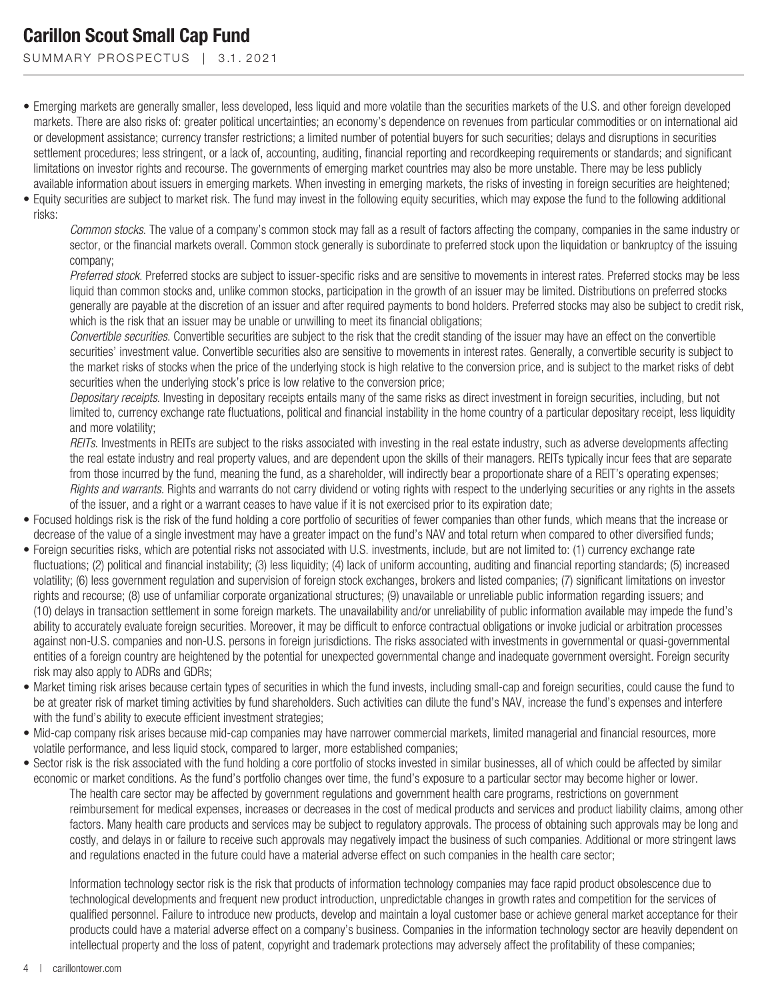SUMMARY PROSPECTUS | 3.1.2021

- Emerging markets are generally smaller, less developed, less liquid and more volatile than the securities markets of the U.S. and other foreign developed markets. There are also risks of: greater political uncertainties; an economy's dependence on revenues from particular commodities or on international aid or development assistance; currency transfer restrictions; a limited number of potential buyers for such securities; delays and disruptions in securities settlement procedures; less stringent, or a lack of, accounting, auditing, financial reporting and recordkeeping requirements or standards; and significant limitations on investor rights and recourse. The governments of emerging market countries may also be more unstable. There may be less publicly available information about issuers in emerging markets. When investing in emerging markets, the risks of investing in foreign securities are heightened;
- Equity securities are subject to market risk. The fund may invest in the following equity securities, which may expose the fund to the following additional risks:

*Common stocks*. The value of a company's common stock may fall as a result of factors affecting the company, companies in the same industry or sector, or the financial markets overall. Common stock generally is subordinate to preferred stock upon the liquidation or bankruptcy of the issuing company;

*Preferred stock*. Preferred stocks are subject to issuer-specific risks and are sensitive to movements in interest rates. Preferred stocks may be less liquid than common stocks and, unlike common stocks, participation in the growth of an issuer may be limited. Distributions on preferred stocks generally are payable at the discretion of an issuer and after required payments to bond holders. Preferred stocks may also be subject to credit risk, which is the risk that an issuer may be unable or unwilling to meet its financial obligations;

*Convertible securities*. Convertible securities are subject to the risk that the credit standing of the issuer may have an effect on the convertible securities' investment value. Convertible securities also are sensitive to movements in interest rates. Generally, a convertible security is subject to the market risks of stocks when the price of the underlying stock is high relative to the conversion price, and is subject to the market risks of debt securities when the underlying stock's price is low relative to the conversion price;

*Depositary receipts*. Investing in depositary receipts entails many of the same risks as direct investment in foreign securities, including, but not limited to, currency exchange rate fluctuations, political and financial instability in the home country of a particular depositary receipt, less liquidity and more volatility;

*REITs*. Investments in REITs are subject to the risks associated with investing in the real estate industry, such as adverse developments affecting the real estate industry and real property values, and are dependent upon the skills of their managers. REITs typically incur fees that are separate from those incurred by the fund, meaning the fund, as a shareholder, will indirectly bear a proportionate share of a REIT's operating expenses; *Rights and warrants.* Rights and warrants do not carry dividend or voting rights with respect to the underlying securities or any rights in the assets of the issuer, and a right or a warrant ceases to have value if it is not exercised prior to its expiration date;

- Focused holdings risk is the risk of the fund holding a core portfolio of securities of fewer companies than other funds, which means that the increase or decrease of the value of a single investment may have a greater impact on the fund's NAV and total return when compared to other diversified funds;
- Foreign securities risks, which are potential risks not associated with U.S. investments, include, but are not limited to: (1) currency exchange rate fluctuations; (2) political and financial instability; (3) less liquidity; (4) lack of uniform accounting, auditing and financial reporting standards; (5) increased volatility; (6) less government regulation and supervision of foreign stock exchanges, brokers and listed companies; (7) significant limitations on investor rights and recourse; (8) use of unfamiliar corporate organizational structures; (9) unavailable or unreliable public information regarding issuers; and (10) delays in transaction settlement in some foreign markets. The unavailability and/or unreliability of public information available may impede the fund's ability to accurately evaluate foreign securities. Moreover, it may be difficult to enforce contractual obligations or invoke judicial or arbitration processes against non-U.S. companies and non-U.S. persons in foreign jurisdictions. The risks associated with investments in governmental or quasi-governmental entities of a foreign country are heightened by the potential for unexpected governmental change and inadequate government oversight. Foreign security risk may also apply to ADRs and GDRs;
- Market timing risk arises because certain types of securities in which the fund invests, including small-cap and foreign securities, could cause the fund to be at greater risk of market timing activities by fund shareholders. Such activities can dilute the fund's NAV, increase the fund's expenses and interfere with the fund's ability to execute efficient investment strategies;
- Mid-cap company risk arises because mid-cap companies may have narrower commercial markets, limited managerial and financial resources, more volatile performance, and less liquid stock, compared to larger, more established companies;
- Sector risk is the risk associated with the fund holding a core portfolio of stocks invested in similar businesses, all of which could be affected by similar economic or market conditions. As the fund's portfolio changes over time, the fund's exposure to a particular sector may become higher or lower. The health care sector may be affected by government regulations and government health care programs, restrictions on government reimbursement for medical expenses, increases or decreases in the cost of medical products and services and product liability claims, among other factors. Many health care products and services may be subject to regulatory approvals. The process of obtaining such approvals may be long and costly, and delays in or failure to receive such approvals may negatively impact the business of such companies. Additional or more stringent laws and regulations enacted in the future could have a material adverse effect on such companies in the health care sector;

Information technology sector risk is the risk that products of information technology companies may face rapid product obsolescence due to technological developments and frequent new product introduction, unpredictable changes in growth rates and competition for the services of qualified personnel. Failure to introduce new products, develop and maintain a loyal customer base or achieve general market acceptance for their products could have a material adverse effect on a company's business. Companies in the information technology sector are heavily dependent on intellectual property and the loss of patent, copyright and trademark protections may adversely affect the profitability of these companies;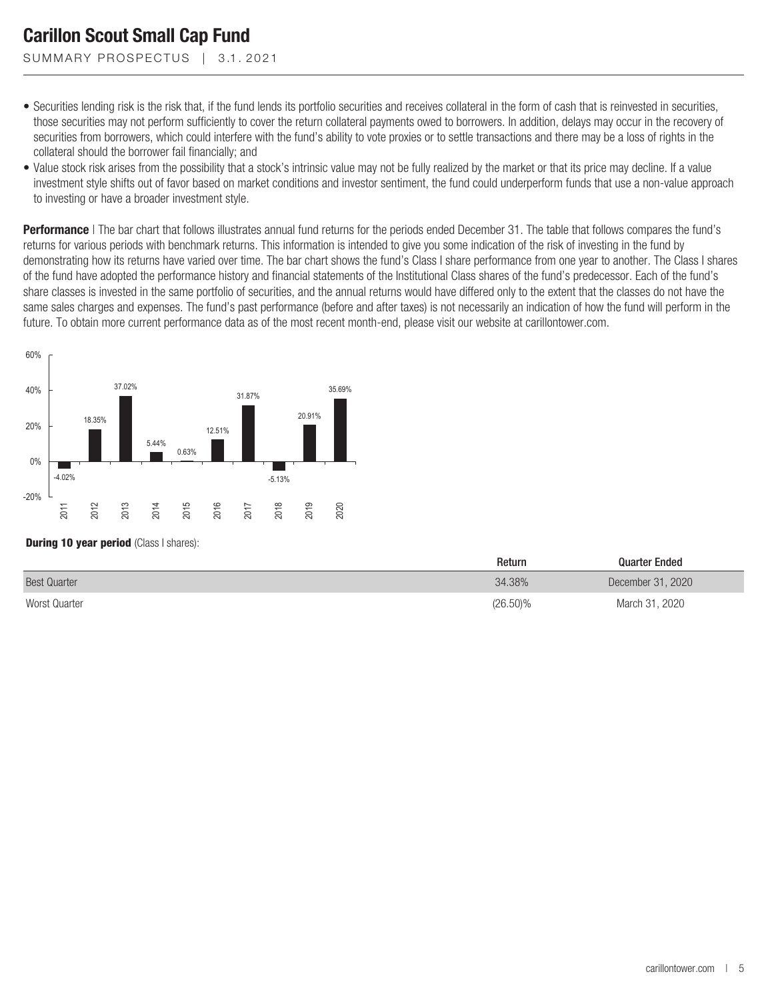SUMMARY PROSPECTUS | 3.1.2021

- Securities lending risk is the risk that, if the fund lends its portfolio securities and receives collateral in the form of cash that is reinvested in securities, those securities may not perform sufficiently to cover the return collateral payments owed to borrowers. In addition, delays may occur in the recovery of securities from borrowers, which could interfere with the fund's ability to vote proxies or to settle transactions and there may be a loss of rights in the collateral should the borrower fail financially; and
- Value stock risk arises from the possibility that a stock's intrinsic value may not be fully realized by the market or that its price may decline. If a value investment style shifts out of favor based on market conditions and investor sentiment, the fund could underperform funds that use a non-value approach to investing or have a broader investment style.

**Performance** | The bar chart that follows illustrates annual fund returns for the periods ended December 31. The table that follows compares the fund's returns for various periods with benchmark returns. This information is intended to give you some indication of the risk of investing in the fund by demonstrating how its returns have varied over time. The bar chart shows the fund's Class I share performance from one year to another. The Class I shares of the fund have adopted the performance history and financial statements of the Institutional Class shares of the fund's predecessor. Each of the fund's share classes is invested in the same portfolio of securities, and the annual returns would have differed only to the extent that the classes do not have the same sales charges and expenses. The fund's past performance (before and after taxes) is not necessarily an indication of how the fund will perform in the future. To obtain more current performance data as of the most recent month-end, please visit our website at carillontower.com.



#### **During 10 year period** (Class I shares):

|                     | Return      | <b>Quarter Ended</b> |
|---------------------|-------------|----------------------|
| <b>Best Quarter</b> | 34.38%      | December 31, 2020    |
| Worst Quarter       | $(26.50)\%$ | March 31, 2020       |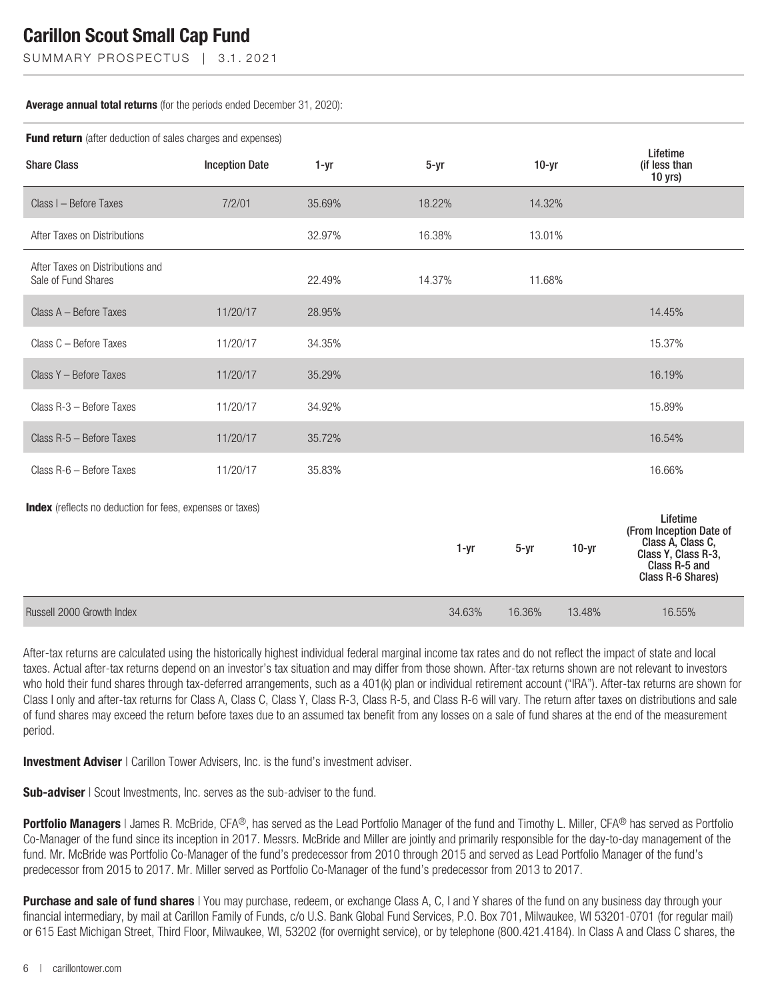SUMMARY PROSPECTUS | 3.1.2021

#### **Average annual total returns** (for the periods ended December 31, 2020):

| Fund return (after deduction of sales charges and expenses)      |                       |          |          |          |         |                                                                                                                       |  |
|------------------------------------------------------------------|-----------------------|----------|----------|----------|---------|-----------------------------------------------------------------------------------------------------------------------|--|
| <b>Share Class</b>                                               | <b>Inception Date</b> | $1 - yr$ | $5 - yr$ | $10-yr$  |         | Lifetime<br>(if less than<br>$10$ yrs)                                                                                |  |
| Class I - Before Taxes                                           | 7/2/01                | 35.69%   | 18.22%   | 14.32%   |         |                                                                                                                       |  |
| After Taxes on Distributions                                     |                       | 32.97%   | 16.38%   | 13.01%   |         |                                                                                                                       |  |
| After Taxes on Distributions and<br>Sale of Fund Shares          |                       | 22.49%   | 14.37%   | 11.68%   |         |                                                                                                                       |  |
| Class A - Before Taxes                                           | 11/20/17              | 28.95%   |          |          |         | 14.45%                                                                                                                |  |
| Class C - Before Taxes                                           | 11/20/17              | 34.35%   |          |          |         | 15.37%                                                                                                                |  |
| Class Y - Before Taxes                                           | 11/20/17              | 35.29%   |          |          |         | 16.19%                                                                                                                |  |
| Class R-3 - Before Taxes                                         | 11/20/17              | 34.92%   |          |          |         | 15.89%                                                                                                                |  |
| Class R-5 - Before Taxes                                         | 11/20/17              | 35.72%   |          |          |         | 16.54%                                                                                                                |  |
| Class R-6 - Before Taxes                                         | 11/20/17              | 35.83%   |          |          |         | 16.66%                                                                                                                |  |
| <b>Index</b> (reflects no deduction for fees, expenses or taxes) |                       |          | 1-yr     | $5 - yr$ | $10-yr$ | Lifetime<br>(From Inception Date of<br>Class A, Class C,<br>Class Y, Class R-3,<br>Class R-5 and<br>Class R-6 Shares) |  |
| Russell 2000 Growth Index                                        |                       |          | 34.63%   | 16.36%   | 13.48%  | 16.55%                                                                                                                |  |

After-tax returns are calculated using the historically highest individual federal marginal income tax rates and do not reflect the impact of state and local taxes. Actual after-tax returns depend on an investor's tax situation and may differ from those shown. After-tax returns shown are not relevant to investors who hold their fund shares through tax-deferred arrangements, such as a 401(k) plan or individual retirement account ("IRA"). After-tax returns are shown for Class I only and after-tax returns for Class A, Class C, Class Y, Class R-3, Class R-5, and Class R-6 will vary. The return after taxes on distributions and sale of fund shares may exceed the return before taxes due to an assumed tax benefit from any losses on a sale of fund shares at the end of the measurement period.

**Investment Adviser** | Carillon Tower Advisers, Inc. is the fund's investment adviser.

**Sub-adviser** | Scout Investments, Inc. serves as the sub-adviser to the fund.

**Portfolio Managers** | James R. McBride, CFA®, has served as the Lead Portfolio Manager of the fund and Timothy L. Miller, CFA® has served as Portfolio Co-Manager of the fund since its inception in 2017. Messrs. McBride and Miller are jointly and primarily responsible for the day-to-day management of the fund. Mr. McBride was Portfolio Co-Manager of the fund's predecessor from 2010 through 2015 and served as Lead Portfolio Manager of the fund's predecessor from 2015 to 2017. Mr. Miller served as Portfolio Co-Manager of the fund's predecessor from 2013 to 2017.

**Purchase and sale of fund shares** | You may purchase, redeem, or exchange Class A, C, I and Y shares of the fund on any business day through your financial intermediary, by mail at Carillon Family of Funds, c/o U.S. Bank Global Fund Services, P.O. Box 701, Milwaukee, WI 53201-0701 (for regular mail) or 615 East Michigan Street, Third Floor, Milwaukee, WI, 53202 (for overnight service), or by telephone (800.421.4184). In Class A and Class C shares, the